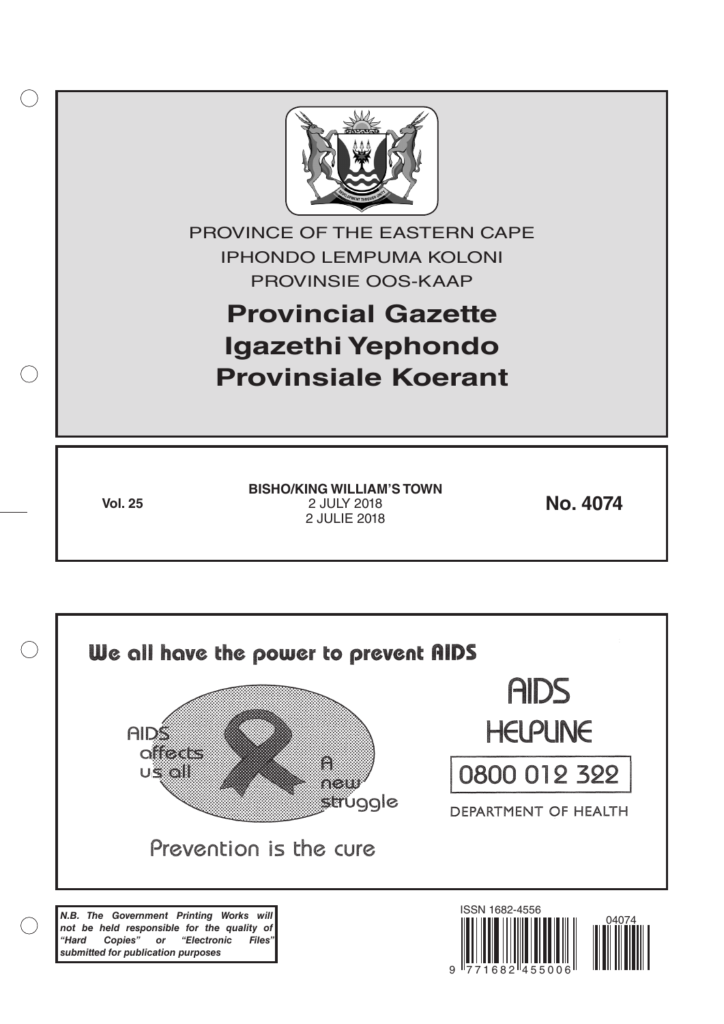

*"Hard Copies" or "Electronic Files" submitted for publication purposes*

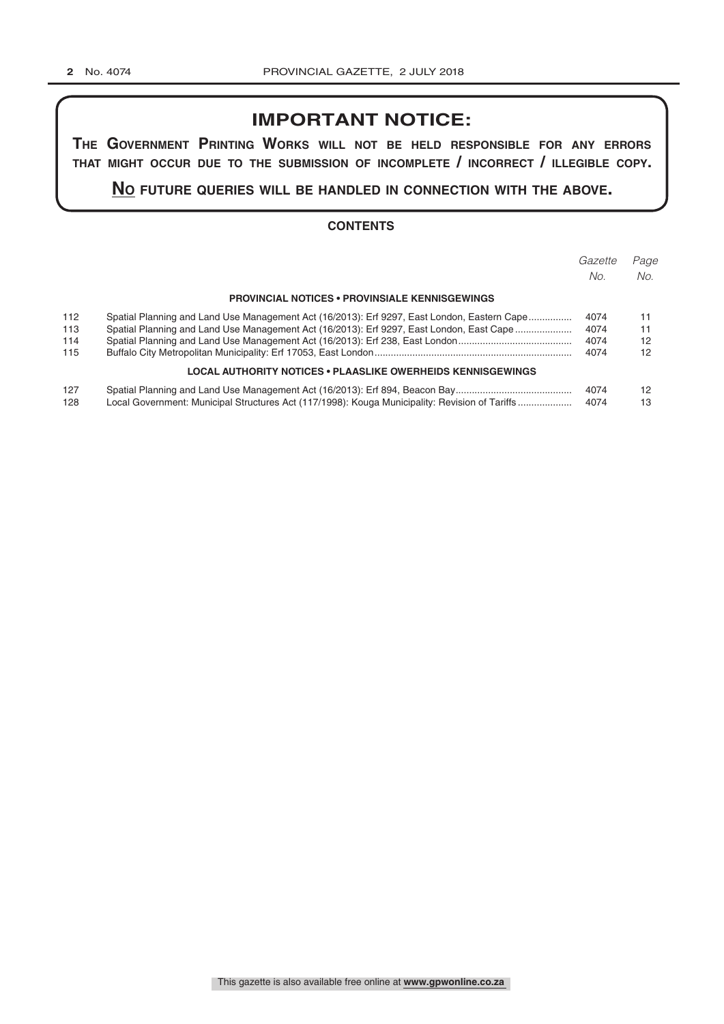# **IMPORTANT NOTICE:**

**The GovernmenT PrinTinG Works Will noT be held resPonsible for any errors ThaT miGhT occur due To The submission of incomPleTe / incorrecT / illeGible coPy.**

**no fuTure queries Will be handled in connecTion WiTh The above.**

#### **CONTENTS**

|     |                                                                                                | Gazette | Page |
|-----|------------------------------------------------------------------------------------------------|---------|------|
|     |                                                                                                | No.     | No.  |
|     | <b>PROVINCIAL NOTICES • PROVINSIALE KENNISGEWINGS</b>                                          |         |      |
| 112 | Spatial Planning and Land Use Management Act (16/2013): Erf 9297, East London, Eastern Cape    | 4074    | 11   |
| 113 | Spatial Planning and Land Use Management Act (16/2013): Erf 9297, East London, East Cape       | 4074    | 11   |
| 114 |                                                                                                | 4074    | 12   |
| 115 |                                                                                                | 4074    | 12   |
|     | LOCAL AUTHORITY NOTICES • PLAASLIKE OWERHEIDS KENNISGEWINGS                                    |         |      |
| 127 |                                                                                                | 4074    | 12   |
| 128 | Local Government: Municipal Structures Act (117/1998): Kouga Municipality: Revision of Tariffs | 4074    | 13   |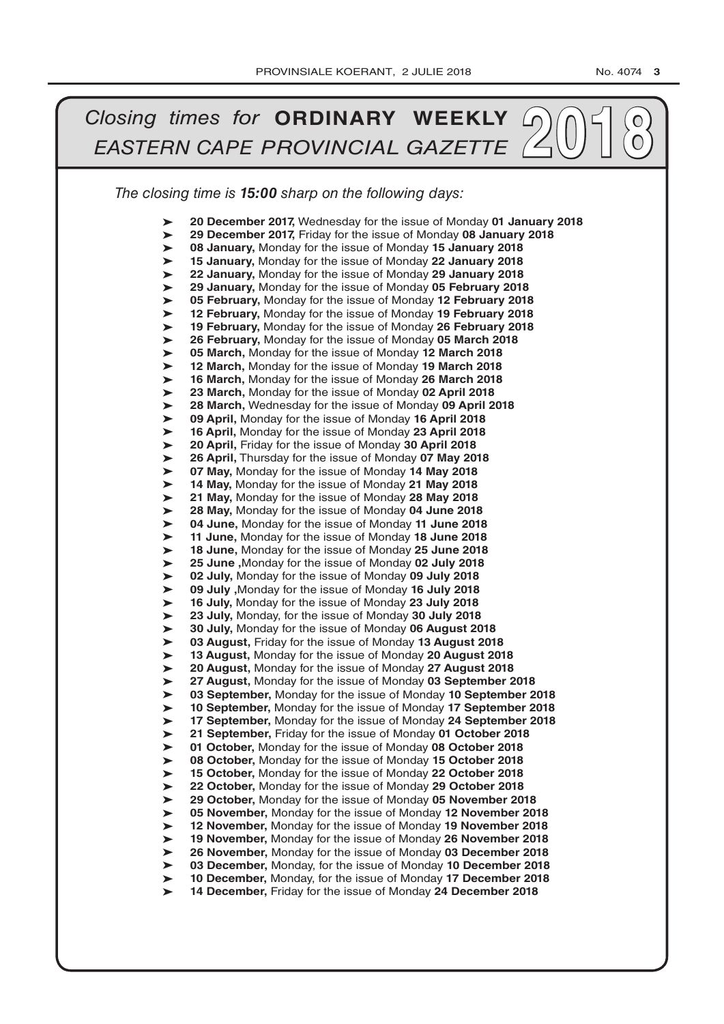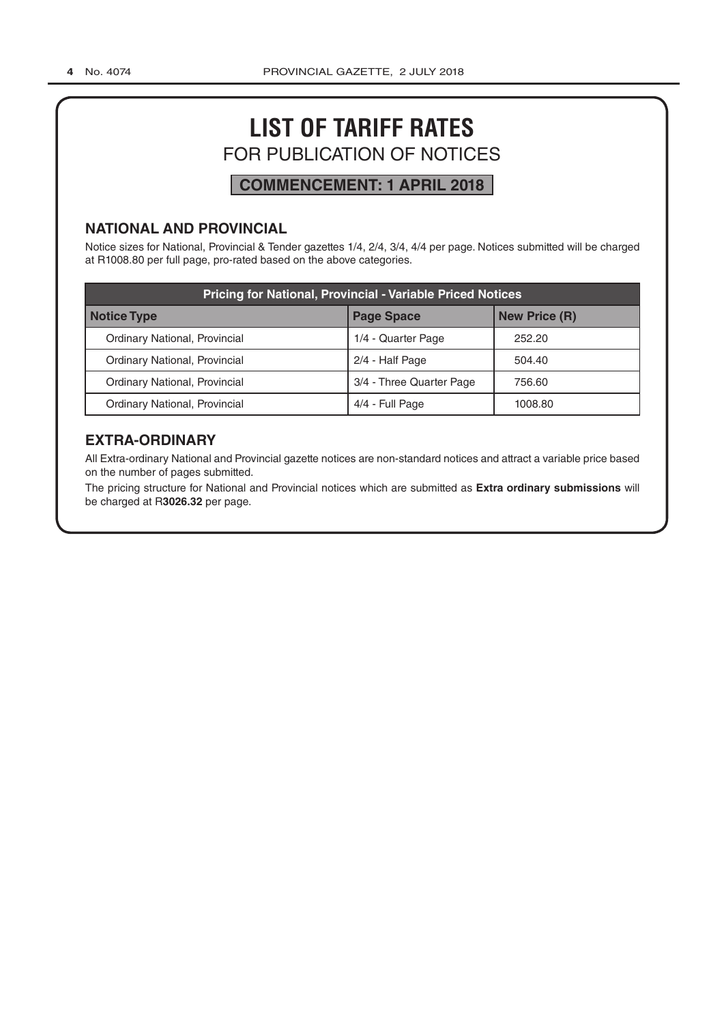# **LIST OF TARIFF RATES** FOR PUBLICATION OF NOTICES

# **COMMENCEMENT: 1 APRIL 2018**

# **NATIONAL AND PROVINCIAL**

Notice sizes for National, Provincial & Tender gazettes 1/4, 2/4, 3/4, 4/4 per page. Notices submitted will be charged at R1008.80 per full page, pro-rated based on the above categories.

| <b>Pricing for National, Provincial - Variable Priced Notices</b> |                          |                      |  |  |  |
|-------------------------------------------------------------------|--------------------------|----------------------|--|--|--|
| <b>Notice Type</b>                                                | <b>Page Space</b>        | <b>New Price (R)</b> |  |  |  |
| Ordinary National, Provincial                                     | 1/4 - Quarter Page       | 252.20               |  |  |  |
| Ordinary National, Provincial                                     | 2/4 - Half Page          | 504.40               |  |  |  |
| Ordinary National, Provincial                                     | 3/4 - Three Quarter Page | 756.60               |  |  |  |
| Ordinary National, Provincial                                     | 4/4 - Full Page          | 1008.80              |  |  |  |

# **EXTRA-ORDINARY**

All Extra-ordinary National and Provincial gazette notices are non-standard notices and attract a variable price based on the number of pages submitted.

The pricing structure for National and Provincial notices which are submitted as **Extra ordinary submissions** will be charged at R**3026.32** per page.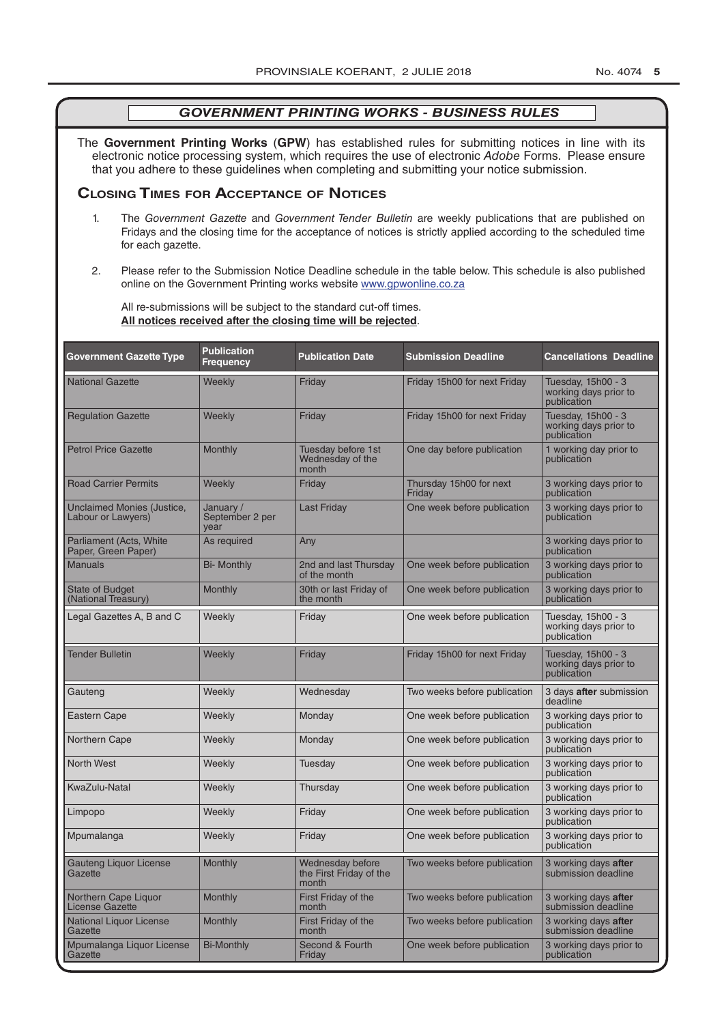The **Government Printing Works** (**GPW**) has established rules for submitting notices in line with its electronic notice processing system, which requires the use of electronic *Adobe* Forms. Please ensure that you adhere to these guidelines when completing and submitting your notice submission.

#### **Closing Times for ACCepTAnCe of noTiCes**

- 1. The *Government Gazette* and *Government Tender Bulletin* are weekly publications that are published on Fridays and the closing time for the acceptance of notices is strictly applied according to the scheduled time for each gazette.
- 2. Please refer to the Submission Notice Deadline schedule in the table below. This schedule is also published online on the Government Printing works website www.gpwonline.co.za

All re-submissions will be subject to the standard cut-off times. **All notices received after the closing time will be rejected**.

| <b>Government Gazette Type</b>                          | <b>Publication</b><br><b>Frequency</b> | <b>Publication Date</b>                              | <b>Submission Deadline</b>        | <b>Cancellations Deadline</b>                              |
|---------------------------------------------------------|----------------------------------------|------------------------------------------------------|-----------------------------------|------------------------------------------------------------|
| <b>National Gazette</b>                                 | Weekly                                 | Friday                                               | Friday 15h00 for next Friday      | Tuesday, 15h00 - 3<br>working days prior to<br>publication |
| <b>Regulation Gazette</b>                               | Weekly                                 | Friday                                               | Friday 15h00 for next Friday      | Tuesday, 15h00 - 3<br>working days prior to<br>publication |
| <b>Petrol Price Gazette</b>                             | Monthly                                | Tuesday before 1st<br>Wednesday of the<br>month      | One day before publication        | 1 working day prior to<br>publication                      |
| <b>Road Carrier Permits</b>                             | Weekly                                 | Friday                                               | Thursday 15h00 for next<br>Friday | 3 working days prior to<br>publication                     |
| <b>Unclaimed Monies (Justice,</b><br>Labour or Lawyers) | January /<br>September 2 per<br>year   | <b>Last Friday</b>                                   | One week before publication       | 3 working days prior to<br>publication                     |
| <b>Parliament (Acts, White</b><br>Paper, Green Paper)   | As required                            | Any                                                  |                                   | 3 working days prior to<br>publication                     |
| <b>Manuals</b>                                          | <b>Bi- Monthly</b>                     | 2nd and last Thursday<br>of the month                | One week before publication       | 3 working days prior to<br>publication                     |
| <b>State of Budget</b><br>(National Treasury)           | Monthly                                | 30th or last Friday of<br>the month                  | One week before publication       | 3 working days prior to<br>publication                     |
| Legal Gazettes A, B and C                               | Weekly                                 | Friday                                               | One week before publication       | Tuesday, 15h00 - 3<br>working days prior to<br>publication |
| <b>Tender Bulletin</b>                                  | Weekly                                 | Friday                                               | Friday 15h00 for next Friday      | Tuesday, 15h00 - 3<br>working days prior to<br>publication |
| Gauteng                                                 | Weekly                                 | Wednesday                                            | Two weeks before publication      | 3 days <b>after</b> submission<br>deadline                 |
| <b>Eastern Cape</b>                                     | Weekly                                 | Monday                                               | One week before publication       | 3 working days prior to<br>publication                     |
| Northern Cape                                           | Weekly                                 | Monday                                               | One week before publication       | 3 working days prior to<br>publication                     |
| <b>North West</b>                                       | Weekly                                 | Tuesday                                              | One week before publication       | 3 working days prior to<br>publication                     |
| KwaZulu-Natal                                           | Weekly                                 | Thursday                                             | One week before publication       | 3 working days prior to<br>publication                     |
| Limpopo                                                 | Weekly                                 | Friday                                               | One week before publication       | 3 working days prior to<br>publication                     |
| Mpumalanga                                              | Weekly                                 | Friday                                               | One week before publication       | 3 working days prior to<br>publication                     |
| <b>Gauteng Liguor License</b><br>Gazette                | Monthly                                | Wednesday before<br>the First Friday of the<br>month | Two weeks before publication      | 3 working days after<br>submission deadline                |
| Northern Cape Liquor<br><b>License Gazette</b>          | Monthly                                | First Friday of the<br>month                         | Two weeks before publication      | 3 working days after<br>submission deadline                |
| <b>National Liquor License</b><br>Gazette               | Monthly                                | First Friday of the<br>month                         | Two weeks before publication      | 3 working days after<br>submission deadline                |
| Mpumalanga Liquor License<br>Gazette                    | <b>Bi-Monthly</b>                      | Second & Fourth<br>Friday                            | One week before publication       | 3 working days prior to<br>publication                     |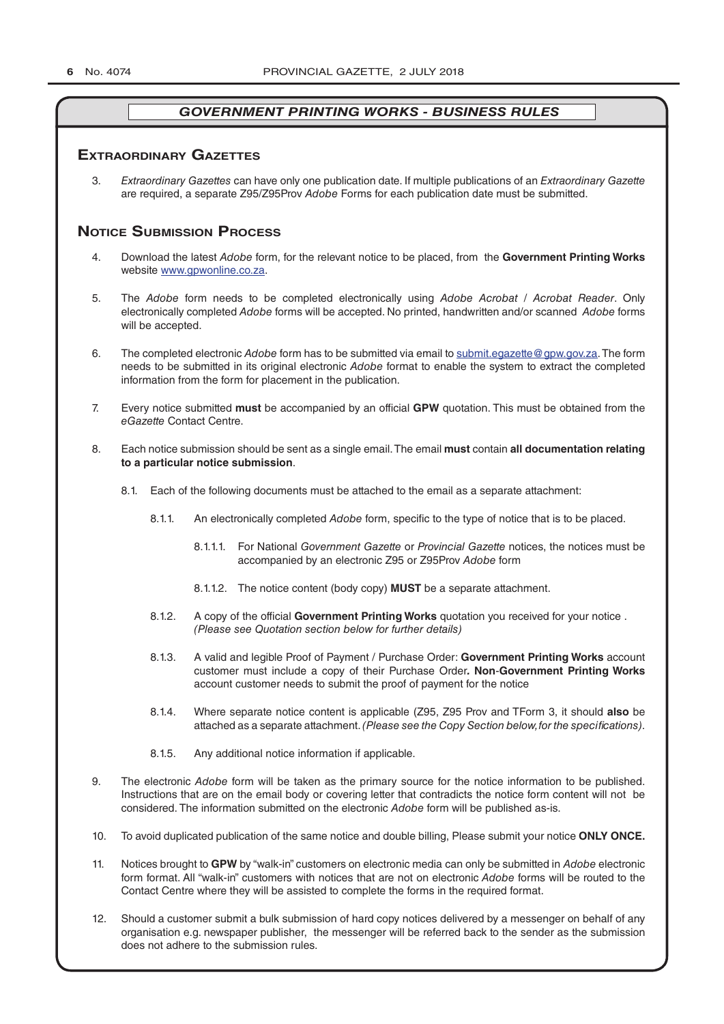#### **exTrAordinAry gAzeTTes**

3. *Extraordinary Gazettes* can have only one publication date. If multiple publications of an *Extraordinary Gazette* are required, a separate Z95/Z95Prov *Adobe* Forms for each publication date must be submitted.

### **NOTICE SUBMISSION PROCESS**

- 4. Download the latest *Adobe* form, for the relevant notice to be placed, from the **Government Printing Works** website www.gpwonline.co.za.
- 5. The *Adobe* form needs to be completed electronically using *Adobe Acrobat* / *Acrobat Reader*. Only electronically completed *Adobe* forms will be accepted. No printed, handwritten and/or scanned *Adobe* forms will be accepted.
- 6. The completed electronic *Adobe* form has to be submitted via email to submit.egazette@gpw.gov.za. The form needs to be submitted in its original electronic *Adobe* format to enable the system to extract the completed information from the form for placement in the publication.
- 7. Every notice submitted **must** be accompanied by an official **GPW** quotation. This must be obtained from the *eGazette* Contact Centre.
- 8. Each notice submission should be sent as a single email. The email **must** contain **all documentation relating to a particular notice submission**.
	- 8.1. Each of the following documents must be attached to the email as a separate attachment:
		- 8.1.1. An electronically completed *Adobe* form, specific to the type of notice that is to be placed.
			- 8.1.1.1. For National *Government Gazette* or *Provincial Gazette* notices, the notices must be accompanied by an electronic Z95 or Z95Prov *Adobe* form
			- 8.1.1.2. The notice content (body copy) **MUST** be a separate attachment.
		- 8.1.2. A copy of the official **Government Printing Works** quotation you received for your notice . *(Please see Quotation section below for further details)*
		- 8.1.3. A valid and legible Proof of Payment / Purchase Order: **Government Printing Works** account customer must include a copy of their Purchase Order*.* **Non**-**Government Printing Works** account customer needs to submit the proof of payment for the notice
		- 8.1.4. Where separate notice content is applicable (Z95, Z95 Prov and TForm 3, it should **also** be attached as a separate attachment. *(Please see the Copy Section below, for the specifications)*.
		- 8.1.5. Any additional notice information if applicable.
- 9. The electronic *Adobe* form will be taken as the primary source for the notice information to be published. Instructions that are on the email body or covering letter that contradicts the notice form content will not be considered. The information submitted on the electronic *Adobe* form will be published as-is.
- 10. To avoid duplicated publication of the same notice and double billing, Please submit your notice **ONLY ONCE.**
- 11. Notices brought to **GPW** by "walk-in" customers on electronic media can only be submitted in *Adobe* electronic form format. All "walk-in" customers with notices that are not on electronic *Adobe* forms will be routed to the Contact Centre where they will be assisted to complete the forms in the required format.
- 12. Should a customer submit a bulk submission of hard copy notices delivered by a messenger on behalf of any organisation e.g. newspaper publisher, the messenger will be referred back to the sender as the submission does not adhere to the submission rules.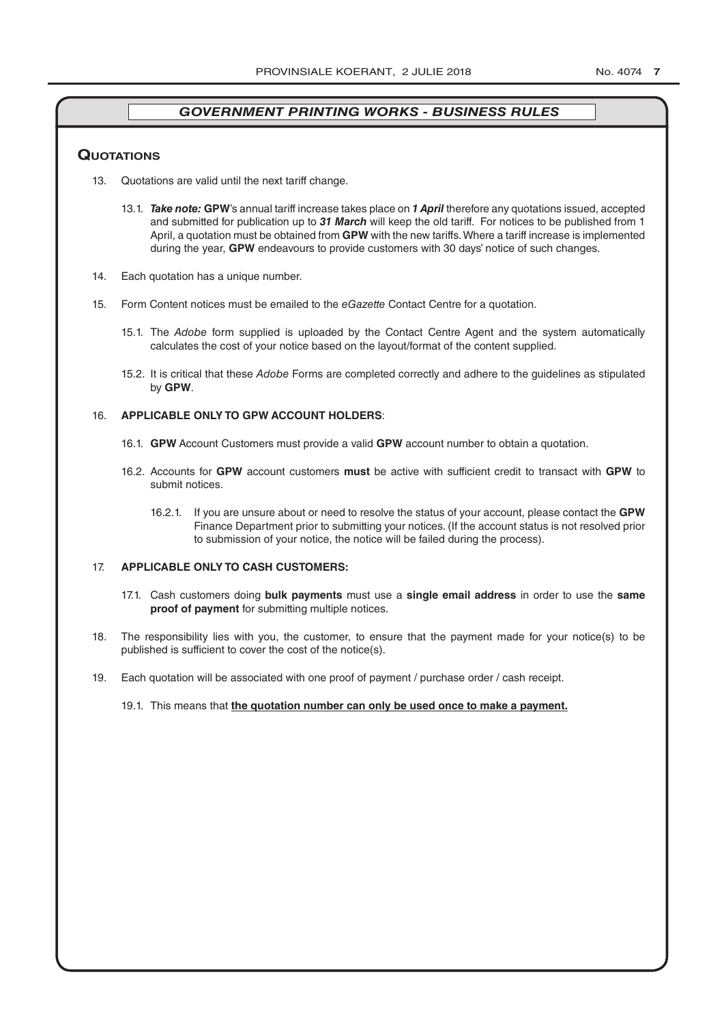#### **QuoTATions**

- 13. Quotations are valid until the next tariff change.
	- 13.1. *Take note:* **GPW**'s annual tariff increase takes place on *1 April* therefore any quotations issued, accepted and submitted for publication up to *31 March* will keep the old tariff. For notices to be published from 1 April, a quotation must be obtained from **GPW** with the new tariffs. Where a tariff increase is implemented during the year, **GPW** endeavours to provide customers with 30 days' notice of such changes.
- 14. Each quotation has a unique number.
- 15. Form Content notices must be emailed to the *eGazette* Contact Centre for a quotation.
	- 15.1. The *Adobe* form supplied is uploaded by the Contact Centre Agent and the system automatically calculates the cost of your notice based on the layout/format of the content supplied.
	- 15.2. It is critical that these *Adobe* Forms are completed correctly and adhere to the guidelines as stipulated by **GPW**.

#### 16. **APPLICABLE ONLY TO GPW ACCOUNT HOLDERS**:

- 16.1. **GPW** Account Customers must provide a valid **GPW** account number to obtain a quotation.
- 16.2. Accounts for **GPW** account customers **must** be active with sufficient credit to transact with **GPW** to submit notices.
	- 16.2.1. If you are unsure about or need to resolve the status of your account, please contact the **GPW** Finance Department prior to submitting your notices. (If the account status is not resolved prior to submission of your notice, the notice will be failed during the process).

#### 17. **APPLICABLE ONLY TO CASH CUSTOMERS:**

- 17.1. Cash customers doing **bulk payments** must use a **single email address** in order to use the **same proof of payment** for submitting multiple notices.
- 18. The responsibility lies with you, the customer, to ensure that the payment made for your notice(s) to be published is sufficient to cover the cost of the notice(s).
- 19. Each quotation will be associated with one proof of payment / purchase order / cash receipt.

#### 19.1. This means that **the quotation number can only be used once to make a payment.**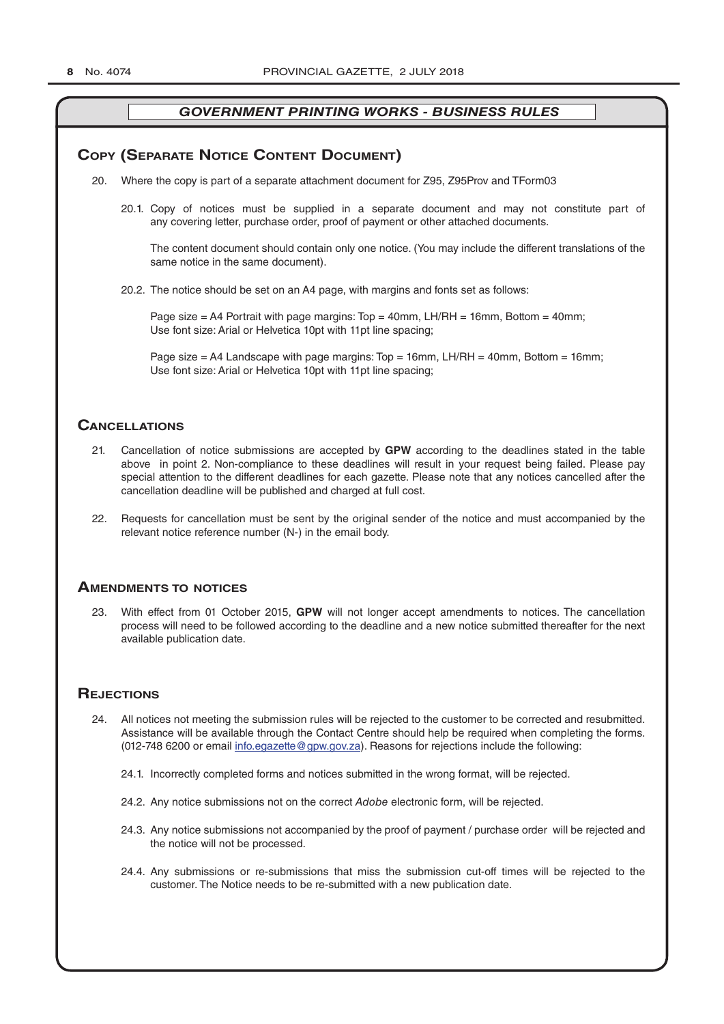#### **COPY (SEPARATE NOTICE CONTENT DOCUMENT)**

- 20. Where the copy is part of a separate attachment document for Z95, Z95Prov and TForm03
	- 20.1. Copy of notices must be supplied in a separate document and may not constitute part of any covering letter, purchase order, proof of payment or other attached documents.

The content document should contain only one notice. (You may include the different translations of the same notice in the same document).

20.2. The notice should be set on an A4 page, with margins and fonts set as follows:

Page size  $=$  A4 Portrait with page margins: Top  $=$  40mm, LH/RH  $=$  16mm, Bottom  $=$  40mm; Use font size: Arial or Helvetica 10pt with 11pt line spacing;

Page size = A4 Landscape with page margins:  $Top = 16$ mm, LH/RH = 40mm, Bottom = 16mm; Use font size: Arial or Helvetica 10pt with 11pt line spacing;

#### **CAnCellATions**

- 21. Cancellation of notice submissions are accepted by **GPW** according to the deadlines stated in the table above in point 2. Non-compliance to these deadlines will result in your request being failed. Please pay special attention to the different deadlines for each gazette. Please note that any notices cancelled after the cancellation deadline will be published and charged at full cost.
- 22. Requests for cancellation must be sent by the original sender of the notice and must accompanied by the relevant notice reference number (N-) in the email body.

#### **AmendmenTs To noTiCes**

23. With effect from 01 October 2015, **GPW** will not longer accept amendments to notices. The cancellation process will need to be followed according to the deadline and a new notice submitted thereafter for the next available publication date.

#### **REJECTIONS**

- 24. All notices not meeting the submission rules will be rejected to the customer to be corrected and resubmitted. Assistance will be available through the Contact Centre should help be required when completing the forms. (012-748 6200 or email info.egazette@gpw.gov.za). Reasons for rejections include the following:
	- 24.1. Incorrectly completed forms and notices submitted in the wrong format, will be rejected.
	- 24.2. Any notice submissions not on the correct *Adobe* electronic form, will be rejected.
	- 24.3. Any notice submissions not accompanied by the proof of payment / purchase order will be rejected and the notice will not be processed.
	- 24.4. Any submissions or re-submissions that miss the submission cut-off times will be rejected to the customer. The Notice needs to be re-submitted with a new publication date.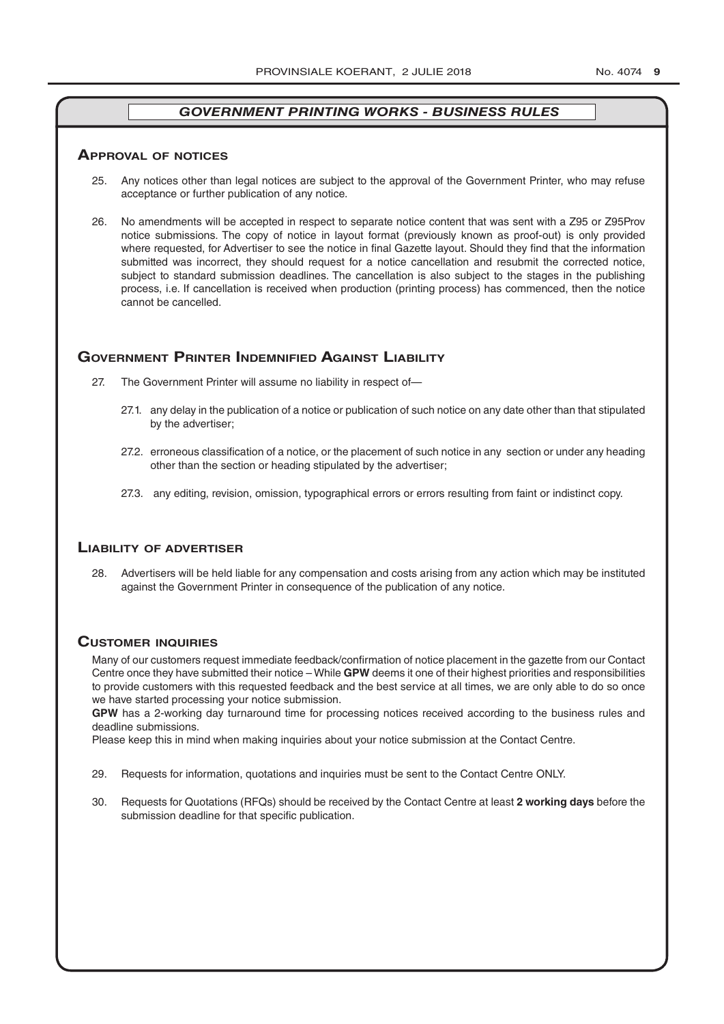#### **ApprovAl of noTiCes**

- 25. Any notices other than legal notices are subject to the approval of the Government Printer, who may refuse acceptance or further publication of any notice.
- 26. No amendments will be accepted in respect to separate notice content that was sent with a Z95 or Z95Prov notice submissions. The copy of notice in layout format (previously known as proof-out) is only provided where requested, for Advertiser to see the notice in final Gazette layout. Should they find that the information submitted was incorrect, they should request for a notice cancellation and resubmit the corrected notice, subject to standard submission deadlines. The cancellation is also subject to the stages in the publishing process, i.e. If cancellation is received when production (printing process) has commenced, then the notice cannot be cancelled.

#### **governmenT prinTer indemnified AgAinsT liAbiliTy**

- 27. The Government Printer will assume no liability in respect of—
	- 27.1. any delay in the publication of a notice or publication of such notice on any date other than that stipulated by the advertiser;
	- 27.2. erroneous classification of a notice, or the placement of such notice in any section or under any heading other than the section or heading stipulated by the advertiser;
	- 27.3. any editing, revision, omission, typographical errors or errors resulting from faint or indistinct copy.

#### **liAbiliTy of AdverTiser**

28. Advertisers will be held liable for any compensation and costs arising from any action which may be instituted against the Government Printer in consequence of the publication of any notice.

#### **CusTomer inQuiries**

Many of our customers request immediate feedback/confirmation of notice placement in the gazette from our Contact Centre once they have submitted their notice – While **GPW** deems it one of their highest priorities and responsibilities to provide customers with this requested feedback and the best service at all times, we are only able to do so once we have started processing your notice submission.

**GPW** has a 2-working day turnaround time for processing notices received according to the business rules and deadline submissions.

Please keep this in mind when making inquiries about your notice submission at the Contact Centre.

- 29. Requests for information, quotations and inquiries must be sent to the Contact Centre ONLY.
- 30. Requests for Quotations (RFQs) should be received by the Contact Centre at least **2 working days** before the submission deadline for that specific publication.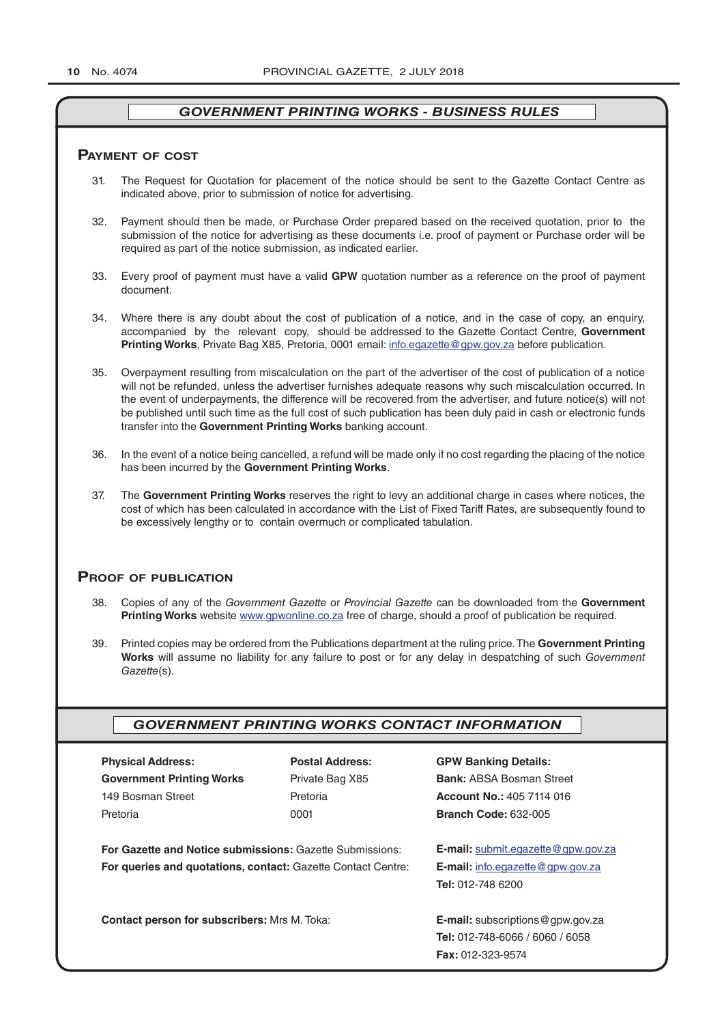#### **pAymenT of CosT**

- 31. The Request for Quotation for placement of the notice should be sent to the Gazette Contact Centre as indicated above, prior to submission of notice for advertising.
- 32. Payment should then be made, or Purchase Order prepared based on the received quotation, prior to the submission of the notice for advertising as these documents i.e. proof of payment or Purchase order will be required as part of the notice submission, as indicated earlier.
- 33. Every proof of payment must have a valid **GPW** quotation number as a reference on the proof of payment document.
- 34. Where there is any doubt about the cost of publication of a notice, and in the case of copy, an enquiry, accompanied by the relevant copy, should be addressed to the Gazette Contact Centre, **Government Printing Works**, Private Bag X85, Pretoria, 0001 email: info.egazette@gpw.gov.za before publication.
- 35. Overpayment resulting from miscalculation on the part of the advertiser of the cost of publication of a notice will not be refunded, unless the advertiser furnishes adequate reasons why such miscalculation occurred. In the event of underpayments, the difference will be recovered from the advertiser, and future notice(s) will not be published until such time as the full cost of such publication has been duly paid in cash or electronic funds transfer into the **Government Printing Works** banking account.
- 36. In the event of a notice being cancelled, a refund will be made only if no cost regarding the placing of the notice has been incurred by the **Government Printing Works**.
- 37. The **Government Printing Works** reserves the right to levy an additional charge in cases where notices, the cost of which has been calculated in accordance with the List of Fixed Tariff Rates, are subsequently found to be excessively lengthy or to contain overmuch or complicated tabulation.

#### **proof of publiCATion**

- 38. Copies of any of the *Government Gazette* or *Provincial Gazette* can be downloaded from the **Government Printing Works** website www.gpwonline.co.za free of charge, should a proof of publication be required.
- 39. Printed copies may be ordered from the Publications department at the ruling price. The **Government Printing Works** will assume no liability for any failure to post or for any delay in despatching of such *Government Gazette*(s).

#### *GOVERNMENT PRINTING WORKS CONTACT INFORMATION*

| <b>Physical Address:</b>         |  |  |  |
|----------------------------------|--|--|--|
| <b>Government Printing Works</b> |  |  |  |
| 149 Bosman Street                |  |  |  |
| Pretoria                         |  |  |  |

**For Gazette and Notice submissions:** Gazette Submissions: **E-mail:** submit.egazette@gpw.gov.za **For queries and quotations, contact:** Gazette Contact Centre: **E-mail:** info.egazette@gpw.gov.za

**Contact person for subscribers:** Mrs M. Toka: **E-mail:** subscriptions@gpw.gov.za

**Physical Address: Postal Address: GPW Banking Details:**

Private Bag X85 **Bank:** ABSA Bosman Street 149 Bosman Street Pretoria **Account No.:** 405 7114 016 Pretoria 0001 **Branch Code:** 632-005

**Tel:** 012-748 6200

**Tel:** 012-748-6066 / 6060 / 6058 **Fax:** 012-323-9574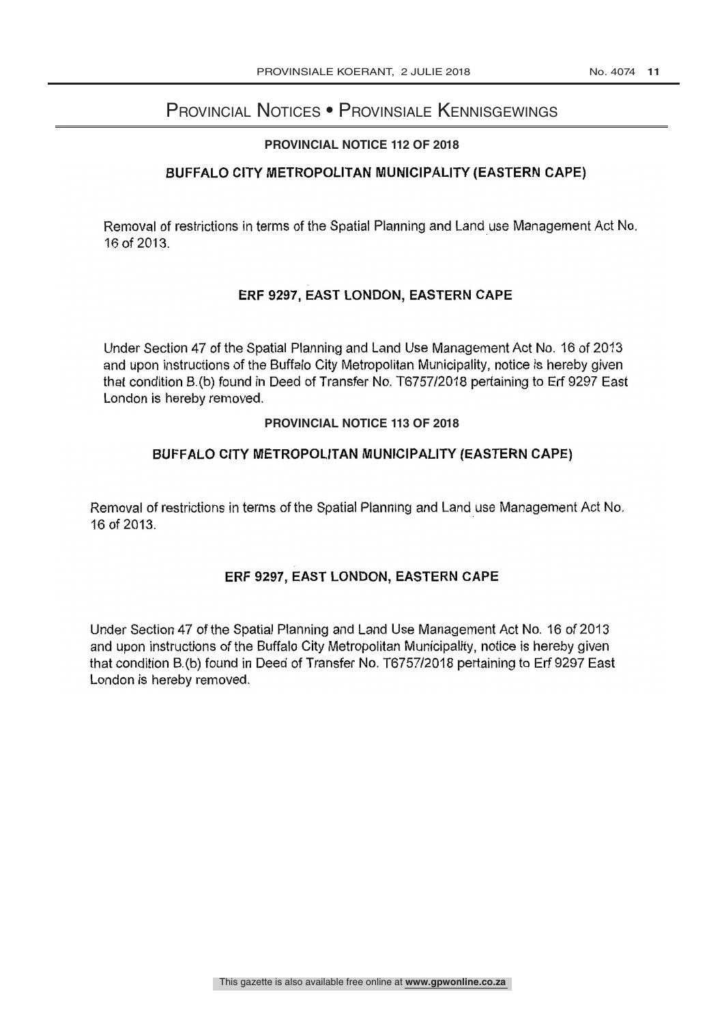# Provincial Notices • Provinsiale Kennisgewings

#### **PROVINCIAL NOTICE 112 OF 2018**

# BUFFALO CITY METROPOLITAN MUNICIPALITY (EASTERN CAPE)

Removal of restrictions in terms of the Spatial Planning and Land use Management Act No. 16 of 2013.

# ERF 9297, EAST LONDON, EASTERN CAPE

Under Section 47 of the Spatial Planning and Land Use Management Act No. 16 of <sup>2013</sup> and upon instructions of the Buffalo City Metropolitan Municipality, notice is hereby given that condition B.(b) found in Deed of Transfer No. T6757/2018 pertaining to Erf 9297 East London is hereby removed.

#### **PROVINCIAL NOTICE 113 OF 2018**

#### BUFFALO CITY METROPOLITAN MUNICIPALITY (EASTERN CAPE)

Removal of restrictions in terms of the Spatial Planning and Land use Management Act No. 16 of 2013.

#### ERF 9297, EAST LONDON, EASTERN CAPE

Under Section 47 of the Spatial Planning and Land Use Management Act No. 16 of 2013 and upon instructions of the Buffalo City Metropolitan Municipality, notice is hereby given that condition B.(b) found in Deed of Transfer No. T6757/2018 pertaining to Erf 9297 East London is hereby removed.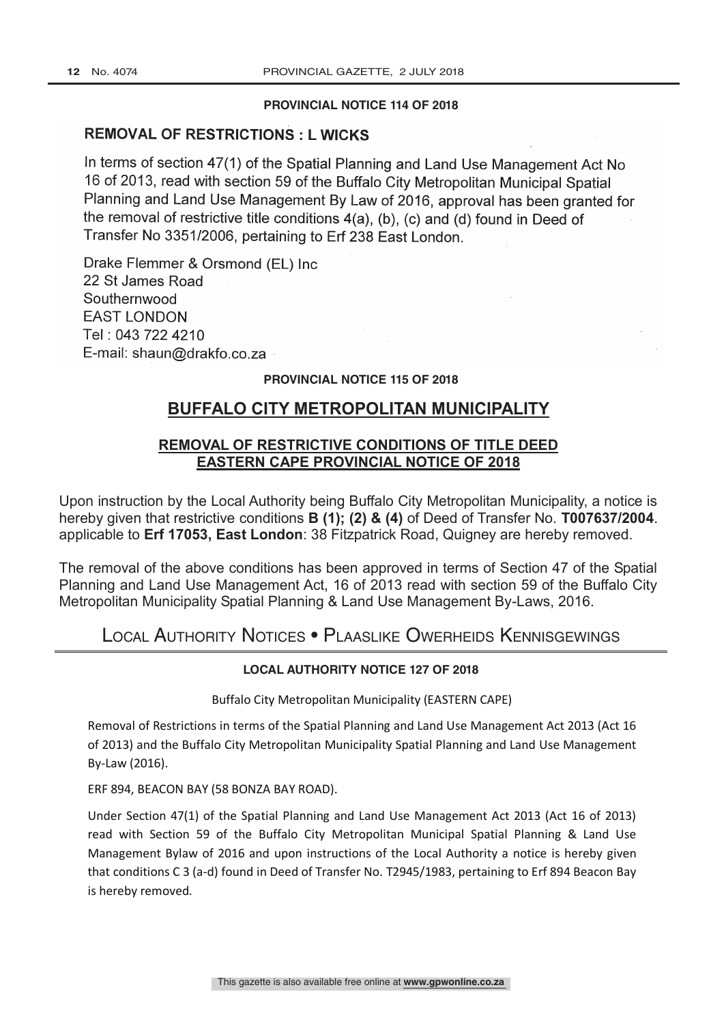#### **PROVINCIAL NOTICE 114 OF 2018**

# REMOVAL OF RESTRICTIONS : L WICKS

In terms of section 47(1) of the Spatial Planning and Land Use Management Act No 16 of 2013, read with section 59 of the Buffalo City Metropolitan Municipal Spatial Planning and Land Use Management By Law of 2016, approval has been granted for the removal of restrictive title conditions 4(a), (b), (c) and (d) found in Deed of Transfer No 3351/2006, pertaining to Erf 238 East London.

Drake Flemmer & Orsmond (EL) Inc 22 St James Road Southernwood EAST LONDON Tel : 043 722 4210 E-mail: shaun@drakfo.co.za

#### **PROVINCIAL NOTICE 115 OF 2018**

# **BUFFALO CITY METROPOLITAN MUNICIPALITY**

# **REMOVAL OF RESTRICTIVE CONDITIONS OF TITLE DEED EASTERN CAPE PROVINCIAL NOTICE OF 2018**

Upon instruction by the Local Authority being Buffalo City Metropolitan Municipality, a notice is hereby given that restrictive conditions **B (1); (2) & (4)** of Deed of Transfer No. **T007637/2004**. applicable to **Erf 17053, East London**: 38 Fitzpatrick Road, Quigney are hereby removed.

The removal of the above conditions has been approved in terms of Section 47 of the Spatial Planning and Land Use Management Act, 16 of 2013 read with section 59 of the Buffalo City Metropolitan Municipality Spatial Planning & Land Use Management By-Laws, 2016.

Local Authority Notices • Plaaslike Owerheids Kennisgewings

#### **LOCAL AUTHORITY NOTICE 127 OF 2018**

Buffalo City Metropolitan Municipality (EASTERN CAPE)

Removal of Restrictions in terms of the Spatial Planning and Land Use Management Act 2013 (Act 16 of 2013) and the Buffalo City Metropolitan Municipality Spatial Planning and Land Use Management By-Law (2016).

ERF 894, BEACON BAY (58 BONZA BAY ROAD).

Under Section 47(1) of the Spatial Planning and Land Use Management Act 2013 (Act 16 of 2013) read with Section 59 of the Buffalo City Metropolitan Municipal Spatial Planning & Land Use Management Bylaw of 2016 and upon instructions of the Local Authority a notice is hereby given that conditions C 3 (a-d) found in Deed of Transfer No. T2945/1983, pertaining to Erf 894 Beacon Bay is hereby removed.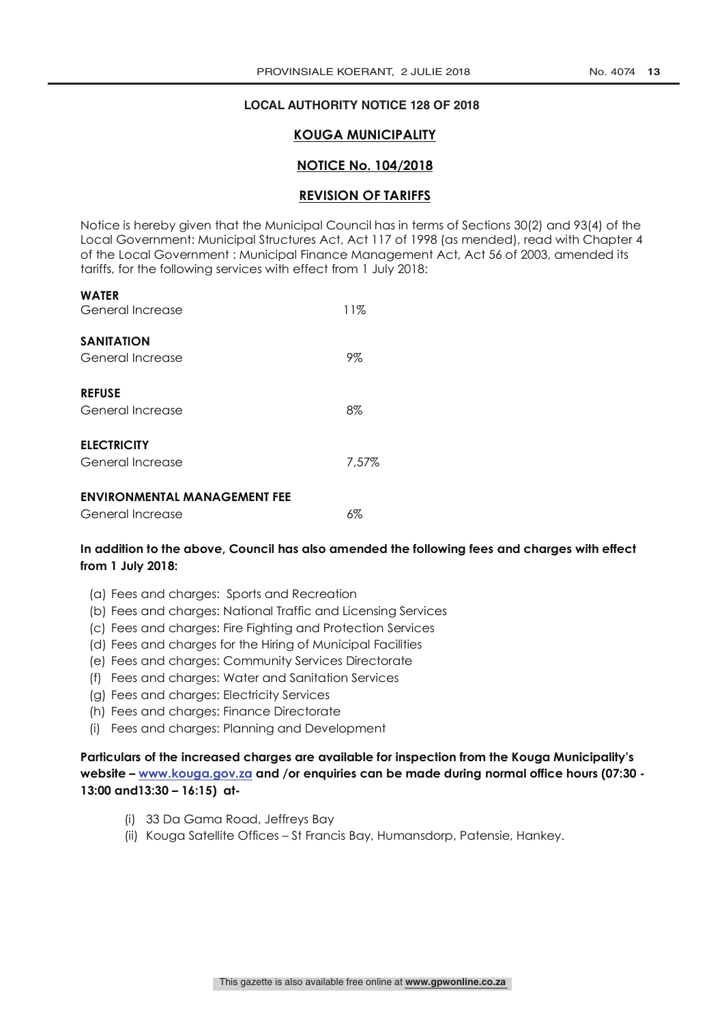#### **LOCAL AUTHORITY NOTICE 128 OF 2018**

#### **KOUGA MUNICIPALITY**

#### **NOTICE No. 104/2018**

#### **REVISION OF TARIFFS**

Notice is hereby given that the Municipal Council has in terms of Sections 30(2) and 93(4) of the Local Government: Municipal Structures Act, Act 117 of 1998 (as mended), read with Chapter 4 of the Local Government : Municipal Finance Management Act, Act 56 of 2003, amended its tariffs, for the following services with effect from 1 July 2018:

| <b>ENVIRONMENTAL MANAGEMENT FEE</b>    |       |  |  |
|----------------------------------------|-------|--|--|
| <b>ELECTRICITY</b><br>General Increase | 7.57% |  |  |
| <b>REFUSE</b><br>General Increase      | $8\%$ |  |  |
| <b>SANITATION</b><br>General Increase  | 9%    |  |  |
| WAICK<br>General Increase              | 11%   |  |  |

**WATER**

| General Increase | 6% |
|------------------|----|
|                  |    |

#### **In addition to the above, Council has also amended the following fees and charges with effect from 1 July 2018:**

- (a) Fees and charges: Sports and Recreation
- (b) Fees and charges: National Traffic and Licensing Services
- (c) Fees and charges: Fire Fighting and Protection Services
- (d) Fees and charges for the Hiring of Municipal Facilities
- (e) Fees and charges: Community Services Directorate
- (f) Fees and charges: Water and Sanitation Services
- (g) Fees and charges: Electricity Services
- (h) Fees and charges: Finance Directorate
- (i) Fees and charges: Planning and Development

**Particulars of the increased charges are available for inspection from the Kouga Municipality's website – www.kouga.gov.za and /or enquiries can be made during normal office hours (07:30 - 13:00 and13:30 – 16:15) at-**

- (i) 33 Da Gama Road, Jeffreys Bay
- (ii) Kouga Satellite Offices St Francis Bay, Humansdorp, Patensie, Hankey.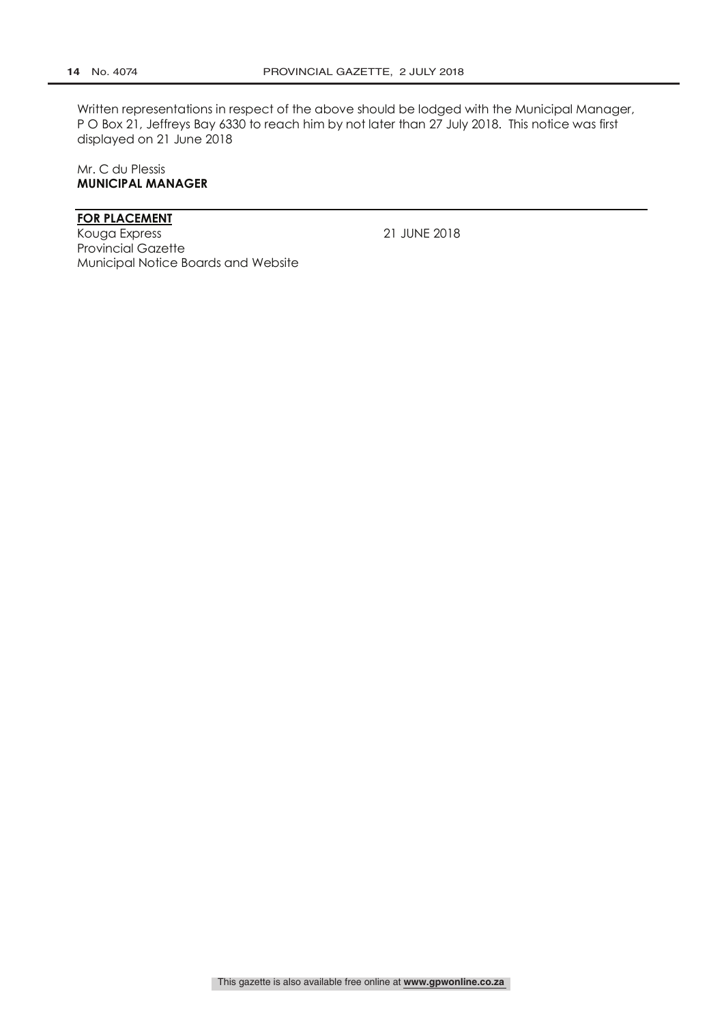Written representations in respect of the above should be lodged with the Municipal Manager, P O Box 21, Jeffreys Bay 6330 to reach him by not later than 27 July 2018. This notice was first displayed on 21 June 2018

Mr. C du Plessis **MUNICIPAL MANAGER**

#### **FOR PLACEMENT**

Kouga Express 21 JUNE 2018 Provincial Gazette Municipal Notice Boards and Website